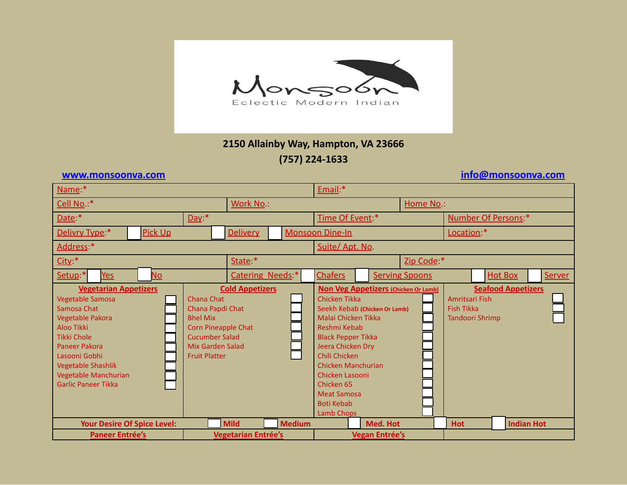

## **2150 Allainby Way, Hampton, VA 23666 (757) 224-1633**

**[www.monsoonva.com](http://www.monsoonva.com) [info@monsoonva.com](mailto:info@monsoonva.com)**

| Name:*                                                                                                                                                                                                                                       |                                                                                                                                                                                       |                            |                                           |                                                                                                                                                                                                                                                                                                                         | Email:*               |                       |                                                                                            |                |                   |  |
|----------------------------------------------------------------------------------------------------------------------------------------------------------------------------------------------------------------------------------------------|---------------------------------------------------------------------------------------------------------------------------------------------------------------------------------------|----------------------------|-------------------------------------------|-------------------------------------------------------------------------------------------------------------------------------------------------------------------------------------------------------------------------------------------------------------------------------------------------------------------------|-----------------------|-----------------------|--------------------------------------------------------------------------------------------|----------------|-------------------|--|
| Cell No.:*                                                                                                                                                                                                                                   | Work No.:                                                                                                                                                                             |                            |                                           |                                                                                                                                                                                                                                                                                                                         |                       | Home No.:             |                                                                                            |                |                   |  |
| Date:*                                                                                                                                                                                                                                       | Day:                                                                                                                                                                                  |                            |                                           |                                                                                                                                                                                                                                                                                                                         | Time Of Event:*       |                       | <b>Number Of Persons:*</b>                                                                 |                |                   |  |
| Delivry Type:*                                                                                                                                                                                                                               | <b>Pick Up</b>                                                                                                                                                                        |                            | <b>Monsoon Dine-In</b><br><b>Delivery</b> |                                                                                                                                                                                                                                                                                                                         |                       |                       | Location:*                                                                                 |                |                   |  |
| Address:*                                                                                                                                                                                                                                    |                                                                                                                                                                                       |                            |                                           |                                                                                                                                                                                                                                                                                                                         | Suite/ Apt. No.       |                       |                                                                                            |                |                   |  |
| $City$ :*                                                                                                                                                                                                                                    | State:*                                                                                                                                                                               |                            | Zip Code:*                                |                                                                                                                                                                                                                                                                                                                         |                       |                       |                                                                                            |                |                   |  |
| Setup:*<br><b>No</b><br>Yes                                                                                                                                                                                                                  |                                                                                                                                                                                       | Catering Needs:*           |                                           | <b>Chafers</b>                                                                                                                                                                                                                                                                                                          |                       | <b>Serving Spoons</b> |                                                                                            | <b>Hot Box</b> | Server            |  |
| <b>Vegetarian Appetizers</b><br>Vegetable Samosa<br>Samosa Chat<br>Vegetable Pakora<br>Aloo Tikki<br><b>Tikki Chole</b><br>Paneer Pakora<br>Lasooni Gobhi<br><b>Vegetable Shashlik</b><br>Vegetable Manchurian<br><b>Garlic Paneer Tikka</b> | <b>Cold Appetizers</b><br><b>Chana Chat</b><br>Chana Papdi Chat<br><b>Bhel Mix</b><br><b>Corn Pineapple Chat</b><br><b>Cucumber Salad</b><br>Mix Garden Salad<br><b>Fruit Platter</b> |                            |                                           | <b>Non Veg Appetizers (Chicken Or Lamb)</b><br>Chicken Tikka<br>Seekh Kebab (Chicken Or Lamb)<br>Malai Chicken Tikka<br>Reshmi Kebab<br><b>Black Pepper Tikka</b><br>Jeera Chicken Dry<br>Chili Chicken<br>Chicken Manchurian<br>Chicken Lasooni<br>Chicken 65<br><b>Meat Samosa</b><br><b>Boti Kebab</b><br>Lamb Chops |                       |                       | <b>Seafood Appetizers</b><br>Amritsari Fish<br><b>Fish Tikka</b><br><b>Tandoori Shrimp</b> |                |                   |  |
| <b>Your Desire Of Spice Level:</b>                                                                                                                                                                                                           |                                                                                                                                                                                       | <b>Mild</b>                | <b>Medium</b>                             |                                                                                                                                                                                                                                                                                                                         | Med. Hot              |                       | <b>Hot</b>                                                                                 |                | <b>Indian Hot</b> |  |
| <b>Paneer Entrée's</b>                                                                                                                                                                                                                       |                                                                                                                                                                                       | <b>Vegetarian Entrée's</b> |                                           |                                                                                                                                                                                                                                                                                                                         | <b>Vegan Entrée's</b> |                       |                                                                                            |                |                   |  |